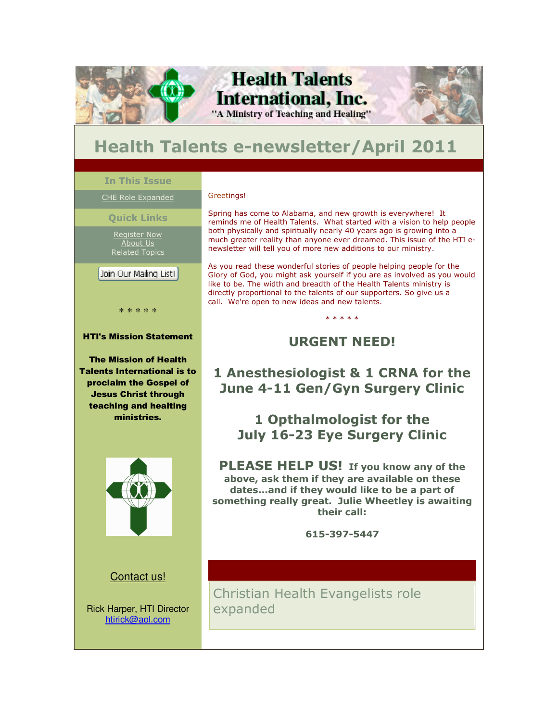

# **Health Talents e-newsletter/April 2011**

### **In This Issue**

٦

### CHE Role Expanded

#### **Quick Links**

Register Now About Us Related Topics

### | Join Our Mailing List! | Ī

\* \* \* \* \*

#### HTI's Mission Statement

The Mission of Health Talents International is to proclaim the Gospel of Jesus Christ through teaching and healting ministries.



### Contact us!

Rick Harper, HTI Director htirick@aol.com

#### Greetings!

Spring has come to Alabama, and new growth is everywhere! It reminds me of Health Talents. What started with a vision to help people both physically and spiritually nearly 40 years ago is growing into a much greater reality than anyone ever dreamed. This issue of the HTI enewsletter will tell you of more new additions to our ministry.

As you read these wonderful stories of people helping people for the Glory of God, you might ask yourself if you are as involved as you would like to be. The width and breadth of the Health Talents ministry is directly proportional to the talents of our supporters. So give us a call. We're open to new ideas and new talents.

### **URGENT NEED!**

\* \* \* \* \*

# **1 Anesthesiologist & 1 CRNA for the June 4-11 Gen/Gyn Surgery Clinic**

**1 Opthalmologist for the July 16-23 Eye Surgery Clinic**

**PLEASE HELP US! If you know any of the above, ask them if they are available on these dates...and if they would like to be a part of something really great. Julie Wheetley is awaiting their call:**

**615-397-5447**

Christian Health Evangelists role expanded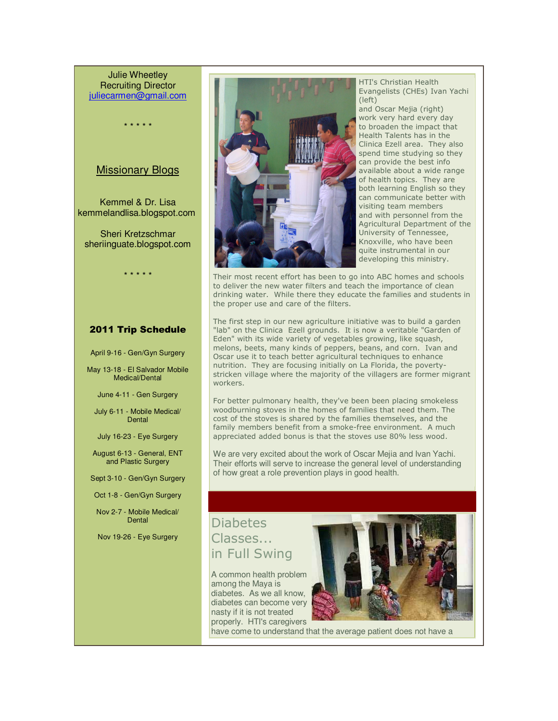Julie Wheetley Recruiting Director juliecarmen@gmail.com

\* \* \* \* \*

### Missionary Blogs

Kemmel & Dr. Lisa kemmelandlisa.blogspot.com

Sheri Kretzschmar sheriinguate.blogspot.com

\* \* \* \* \*

### 2011 Trip Schedule

April 9-16 - Gen/Gyn Surgery

May 13-18 - El Salvador Mobile Medical/Dental

June 4-11 - Gen Surgery

July 6-11 - Mobile Medical/ Dental

July 16-23 - Eye Surgery

August 6-13 - General, ENT and Plastic Surgery

Sept 3-10 - Gen/Gyn Surgery

Oct 1-8 - Gen/Gyn Surgery

Nov 2-7 - Mobile Medical/ Dental

Nov 19-26 - Eye Surgery



HTI's Christian Health Evangelists (CHEs) Ivan Yachi (left)

and Oscar Mejia (right) work very hard every day to broaden the impact that Health Talents has in the Clinica Ezell area. They also spend time studying so they can provide the best info available about a wide range of health topics. They are both learning English so they can communicate better with visiting team members and with personnel from the Agricultural Department of the University of Tennessee, Knoxville, who have been quite instrumental in our developing this ministry.

Their most recent effort has been to go into ABC homes and schools to deliver the new water filters and teach the importance of clean drinking water. While there they educate the families and students in the proper use and care of the filters.

The first step in our new agriculture initiative was to build a garden "lab" on the Clinica Ezell grounds. It is now a veritable "Garden of Eden" with its wide variety of vegetables growing, like squash, melons, beets, many kinds of peppers, beans, and corn. Ivan and Oscar use it to teach better agricultural techniques to enhance nutrition. They are focusing initially on La Florida, the povertystricken village where the majority of the villagers are former migrant workers.

For better pulmonary health, they've been been placing smokeless woodburning stoves in the homes of families that need them. The cost of the stoves is shared by the families themselves, and the family members benefit from a smoke-free environment. A much appreciated added bonus is that the stoves use 80% less wood.

We are very excited about the work of Oscar Mejia and Ivan Yachi. Their efforts will serve to increase the general level of understanding of how great a role prevention plays in good health.

### **Diabetes** Classes... in Full Swing

A common health problem among the Maya is diabetes. As we all know, diabetes can become very nasty if it is not treated properly. HTI's caregivers



have come to understand that the average patient does not have a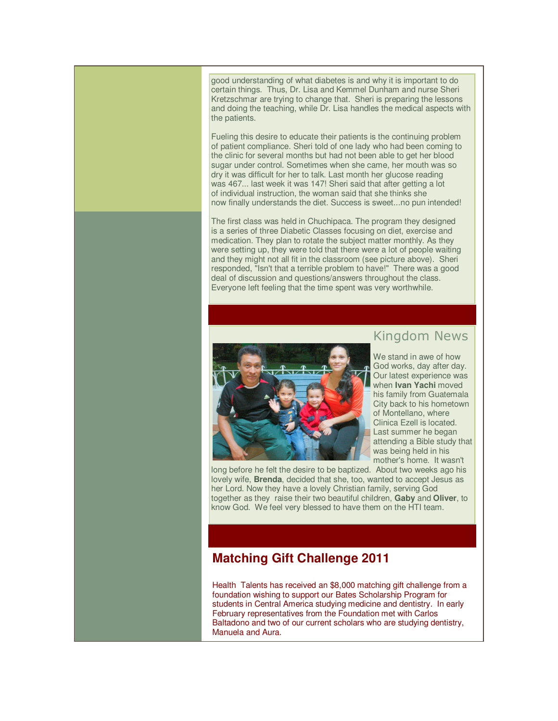good understanding of what diabetes is and why it is important to do certain things. Thus, Dr. Lisa and Kemmel Dunham and nurse Sheri Kretzschmar are trying to change that. Sheri is preparing the lessons and doing the teaching, while Dr. Lisa handles the medical aspects with the patients.

Fueling this desire to educate their patients is the continuing problem of patient compliance. Sheri told of one lady who had been coming to the clinic for several months but had not been able to get her blood sugar under control. Sometimes when she came, her mouth was so dry it was difficult for her to talk. Last month her glucose reading was 467... last week it was 147! Sheri said that after getting a lot of individual instruction, the woman said that she thinks she now finally understands the diet. Success is sweet...no pun intended!

The first class was held in Chuchipaca. The program they designed is a series of three Diabetic Classes focusing on diet, exercise and medication. They plan to rotate the subject matter monthly. As they were setting up, they were told that there were a lot of people waiting and they might not all fit in the classroom (see picture above). Sheri responded, "Isn't that a terrible problem to have!" There was a good deal of discussion and questions/answers throughout the class. Everyone left feeling that the time spent was very worthwhile.



### Kingdom News

We stand in awe of how God works, day after day. Our latest experience was when **Ivan Yachi** moved his family from Guatemala City back to his hometown of Montellano, where Clinica Ezell is located. Last summer he began attending a Bible study that was being held in his mother's home. It wasn't

long before he felt the desire to be baptized. About two weeks ago his lovely wife, **Brenda**, decided that she, too, wanted to accept Jesus as her Lord. Now they have a lovely Christian family, serving God together as they raise their two beautiful children, **Gaby** and **Oliver**, to know God. We feel very blessed to have them on the HTI team.

## **Matching Gift Challenge 2011**

Health Talents has received an \$8,000 matching gift challenge from a foundation wishing to support our Bates Scholarship Program for students in Central America studying medicine and dentistry. In early February representatives from the Foundation met with Carlos Baltadono and two of our current scholars who are studying dentistry, Manuela and Aura.